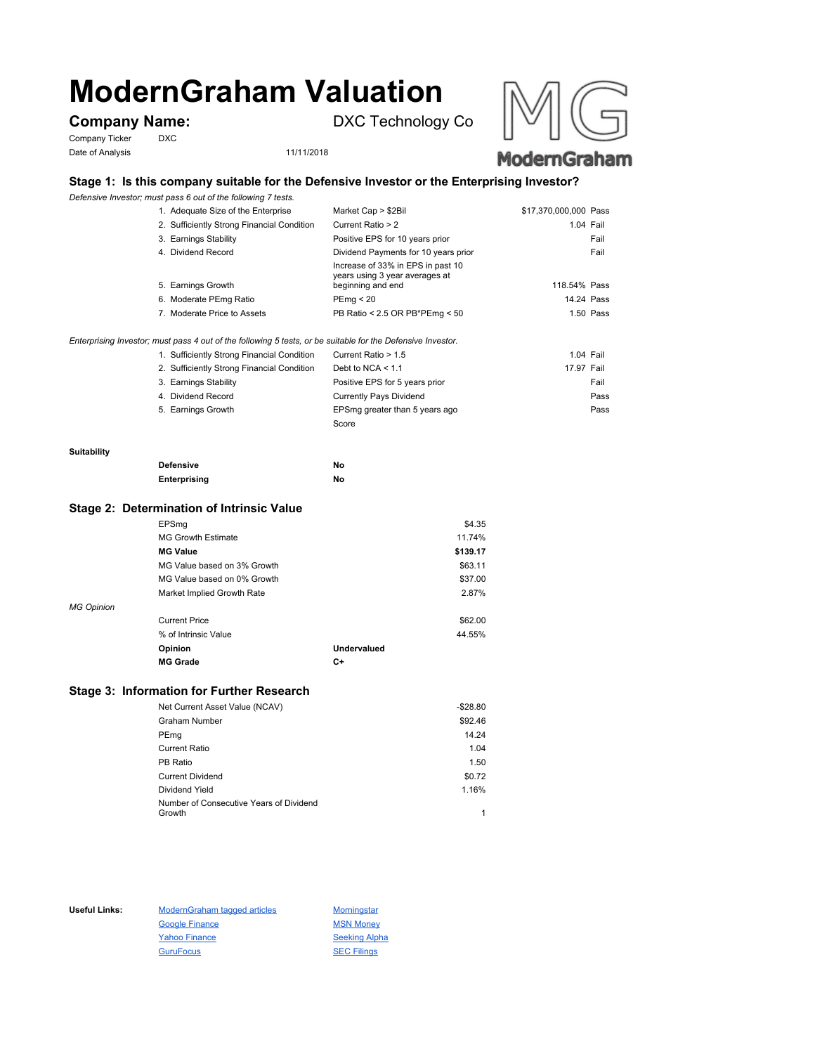# **ModernGraham Valuation**

Company Ticker DXC Date of Analysis 11/11/2018

**Company Name:** DXC Technology Co





# **Stage 1: Is this company suitable for the Defensive Investor or the Enterprising Investor?**

*Defensive Investor; must pass 6 out of the following 7 tests.*

| 1. Adequate Size of the Enterprise         | Market Cap > \$2Bil                                                                      | \$17,370,000,000 Pass |  |
|--------------------------------------------|------------------------------------------------------------------------------------------|-----------------------|--|
| 2. Sufficiently Strong Financial Condition | Current Ratio > 2                                                                        | 1.04 Fail             |  |
| 3. Earnings Stability                      | Positive EPS for 10 years prior                                                          | Fail                  |  |
| 4. Dividend Record                         | Dividend Payments for 10 years prior                                                     | Fail                  |  |
| 5. Earnings Growth                         | Increase of 33% in EPS in past 10<br>years using 3 year averages at<br>beginning and end | 118.54% Pass          |  |
| 6. Moderate PEmg Ratio                     | PEmq < 20                                                                                | 14.24 Pass            |  |
| 7. Moderate Price to Assets                | PB Ratio < 2.5 OR PB*PEmg < 50                                                           | 1.50 Pass             |  |

*Enterprising Investor; must pass 4 out of the following 5 tests, or be suitable for the Defensive Investor.*

| 1. Sufficiently Strong Financial Condition | Current Ratio > 1.5            |            | 1.04 Fail |
|--------------------------------------------|--------------------------------|------------|-----------|
| 2. Sufficiently Strong Financial Condition | Debt to NCA $<$ 1.1            | 17.97 Fail |           |
| 3. Earnings Stability                      | Positive EPS for 5 years prior |            | Fail      |
| 4. Dividend Record                         | <b>Currently Pays Dividend</b> |            | Pass      |
| 5. Earnings Growth                         | EPSmg greater than 5 years ago |            | Pass      |
|                                            | Score                          |            |           |

#### **Suitability**

| <b>Defensive</b> | Νo |
|------------------|----|
| Enterprising     | Νo |

## **Stage 2: Determination of Intrinsic Value**

|                   | EPSmg                       |             | \$4.35   |
|-------------------|-----------------------------|-------------|----------|
|                   | <b>MG Growth Estimate</b>   |             | 11.74%   |
|                   | <b>MG Value</b>             |             | \$139.17 |
|                   | MG Value based on 3% Growth |             | \$63.11  |
|                   | MG Value based on 0% Growth |             | \$37.00  |
|                   | Market Implied Growth Rate  |             | 2.87%    |
| <b>MG Opinion</b> |                             |             |          |
|                   | <b>Current Price</b>        |             | \$62.00  |
|                   | % of Intrinsic Value        |             | 44.55%   |
|                   | Opinion                     | Undervalued |          |
|                   | <b>MG Grade</b>             | C+          |          |
|                   |                             |             |          |

# **Stage 3: Information for Further Research**

| Net Current Asset Value (NCAV)          | $-$28.80$ |
|-----------------------------------------|-----------|
| Graham Number                           | \$92.46   |
| PEmg                                    | 14.24     |
| Current Ratio                           | 1.04      |
| PB Ratio                                | 1.50      |
| <b>Current Dividend</b>                 | \$0.72    |
| Dividend Yield                          | 1.16%     |
| Number of Consecutive Years of Dividend |           |
| Growth                                  |           |

Useful Links: ModernGraham tagged articles Morningstar Google Finance MSN Money Yahoo Finance Seeking Alpha GuruFocus SEC Filings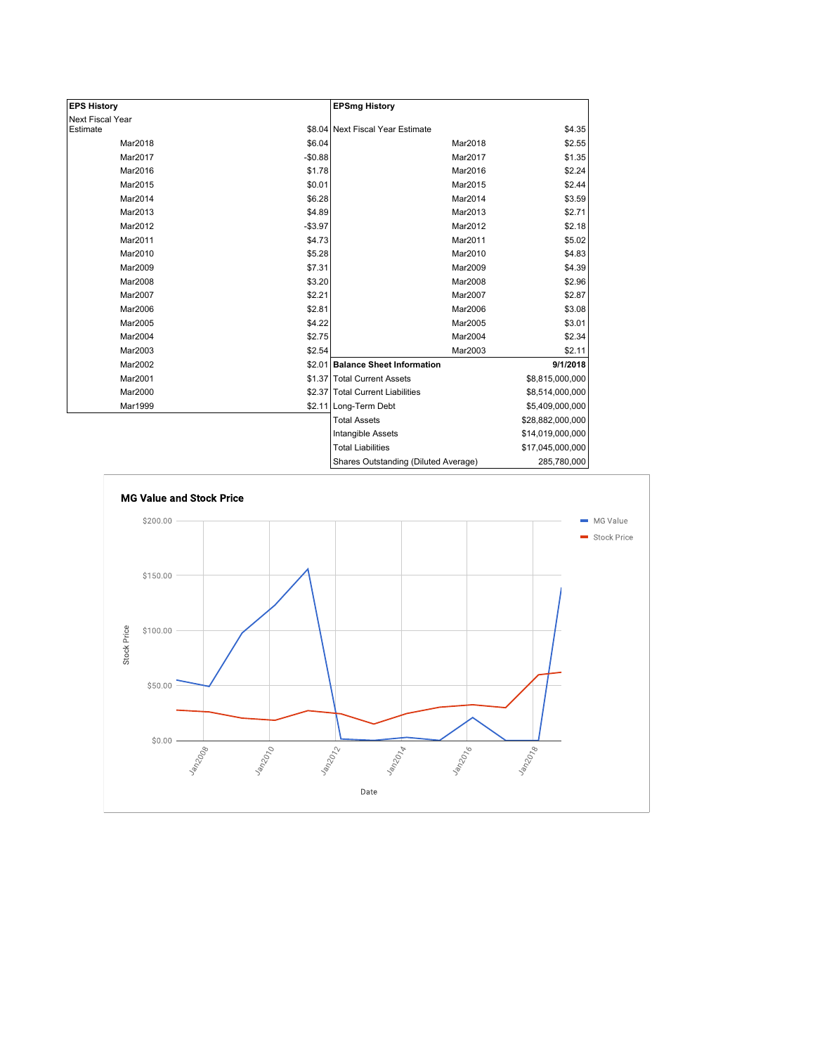| <b>EPS History</b> |          | <b>EPSmg History</b>                 |                  |
|--------------------|----------|--------------------------------------|------------------|
| Next Fiscal Year   |          |                                      |                  |
| Estimate           |          | \$8.04 Next Fiscal Year Estimate     | \$4.35           |
| Mar2018            | \$6.04   | Mar2018                              | \$2.55           |
| Mar2017            | $-$0.88$ | Mar2017                              | \$1.35           |
| Mar2016            | \$1.78   | Mar2016                              | \$2.24           |
| Mar2015            | \$0.01   | Mar2015                              | \$2.44           |
| Mar2014            | \$6.28   | Mar2014                              | \$3.59           |
| Mar2013            | \$4.89   | Mar2013                              | \$2.71           |
| Mar2012            | $-$3.97$ | Mar2012                              | \$2.18           |
| Mar2011            | \$4.73   | Mar2011                              | \$5.02           |
| Mar2010            | \$5.28   | Mar2010                              | \$4.83           |
| Mar2009            | \$7.31   | Mar2009                              | \$4.39           |
| Mar2008            | \$3.20   | Mar2008                              | \$2.96           |
| Mar2007            | \$2.21   | Mar2007                              | \$2.87           |
| Mar2006            | \$2.81   | Mar2006                              | \$3.08           |
| Mar2005            | \$4.22   | Mar2005                              | \$3.01           |
| Mar2004            | \$2.75   | Mar2004                              | \$2.34           |
| Mar2003            | \$2.54   | Mar2003                              | \$2.11           |
| Mar2002            |          | \$2.01 Balance Sheet Information     | 9/1/2018         |
| Mar2001            |          | \$1.37 Total Current Assets          | \$8,815,000,000  |
| Mar2000            |          | \$2.37 Total Current Liabilities     | \$8,514,000,000  |
| Mar1999            |          | \$2.11 Long-Term Debt                | \$5,409,000,000  |
|                    |          | <b>Total Assets</b>                  | \$28,882,000,000 |
|                    |          | Intangible Assets                    | \$14,019,000,000 |
|                    |          | <b>Total Liabilities</b>             | \$17,045,000,000 |
|                    |          | Sharee Outetanding (Diluted Average) | 285 780 000      |